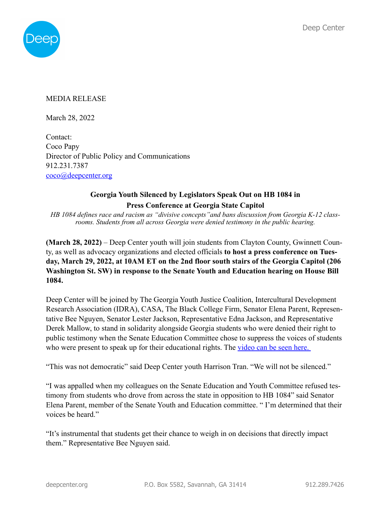

## MEDIA RELEASE

March 28, 2022

Contact: Coco Papy Director of Public Policy and Communications 912.231.7387 [coco@deepcenter.org](mailto:coco@deepcenter.org)

## **Georgia Youth Silenced by Legislators Speak Out on HB 1084 in Press Conference at Georgia State Capitol**

*HB 1084 defines race and racism as "divisive concepts"and bans discussion from Georgia K-12 classrooms. Students from all across Georgia were denied testimony in the public hearing.*

**(March 28, 2022)** – Deep Center youth will join students from Clayton County, Gwinnett County, as well as advocacy organizations and elected officials **to host a press conference on Tuesday, March 29, 2022, at 10AM ET on the 2nd floor south stairs of the Georgia Capitol (206 Washington St. SW) in response to the Senate Youth and Education hearing on House Bill 1084.** 

Deep Center will be joined by The Georgia Youth Justice Coalition, Intercultural Development Research Association (IDRA), CASA, The Black College Firm, Senator Elena Parent, Representative Bee Nguyen, Senator Lester Jackson, Representative Edna Jackson, and Representative Derek Mallow, to stand in solidarity alongside Georgia students who were denied their right to public testimony when the Senate Education Committee chose to suppress the voices of students who were present to speak up for their educational rights. The video can be seen here.

"This was not democratic" said Deep Center youth Harrison Tran. "We will not be silenced."

"I was appalled when my colleagues on the Senate Education and Youth Committee refused testimony from students who drove from across the state in opposition to HB 1084" said Senator Elena Parent, member of the Senate Youth and Education committee. " I'm determined that their voices be heard."

"It's instrumental that students get their chance to weigh in on decisions that directly impact them." Representative Bee Nguyen said.